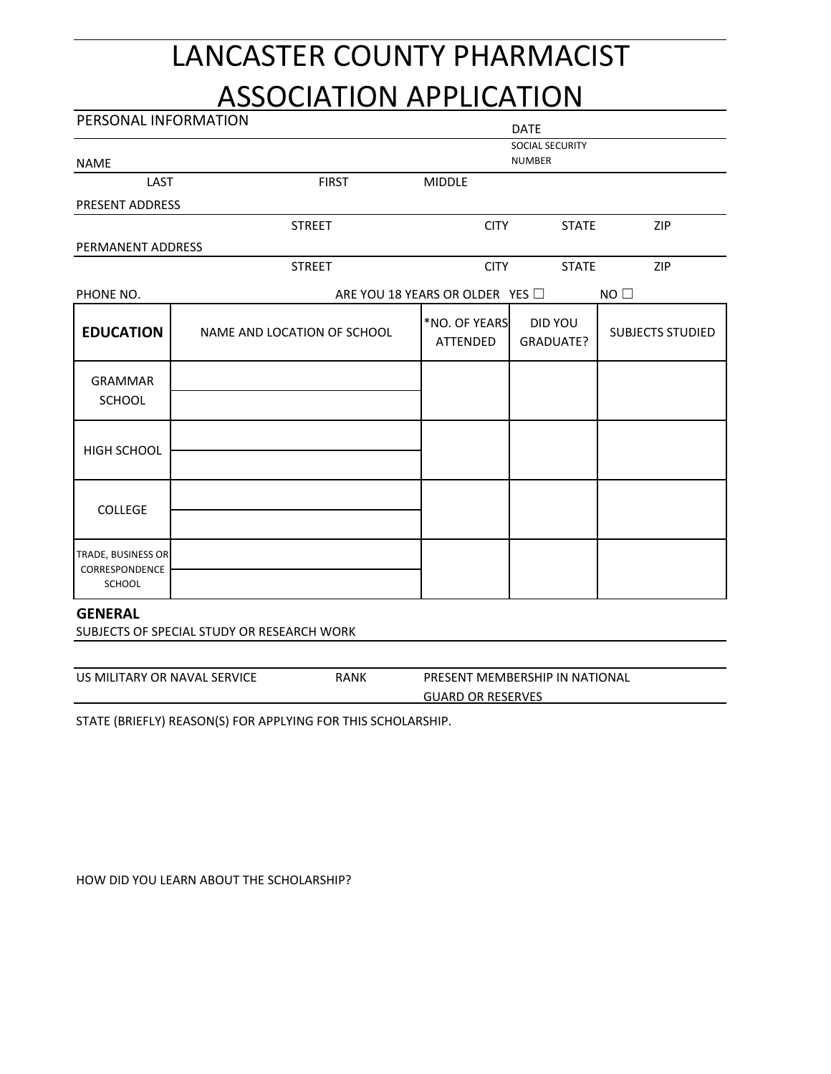## LANCASTER COUNTY PHARMACIST

## ASSOCIATION APPLICATION

| PERSONAL INFORMATION                           |                             |                                 | <b>DATE</b>                      |                         |
|------------------------------------------------|-----------------------------|---------------------------------|----------------------------------|-------------------------|
| <b>NAME</b>                                    |                             |                                 | SOCIAL SECURITY<br><b>NUMBER</b> |                         |
| LAST                                           | <b>FIRST</b>                | <b>MIDDLE</b>                   |                                  |                         |
| <b>PRESENT ADDRESS</b>                         |                             |                                 |                                  |                         |
|                                                | <b>STREET</b>               | <b>CITY</b>                     | <b>STATE</b>                     | ZIP                     |
| PERMANENT ADDRESS                              |                             |                                 |                                  |                         |
|                                                | <b>STREET</b>               | <b>CITY</b>                     | <b>STATE</b>                     | ZIP                     |
| PHONE NO.                                      |                             | ARE YOU 18 YEARS OR OLDER YES O |                                  | $NO$ $\Box$             |
| <b>EDUCATION</b>                               | NAME AND LOCATION OF SCHOOL | *NO. OF YEARS<br>ATTENDED       | DID YOU<br>GRADUATE?             | <b>SUBJECTS STUDIED</b> |
| <b>GRAMMAR</b><br>SCHOOL                       |                             |                                 |                                  |                         |
| <b>HIGH SCHOOL</b>                             |                             |                                 |                                  |                         |
| <b>COLLEGE</b>                                 |                             |                                 |                                  |                         |
| TRADE, BUSINESS OR<br>CORRESPONDENCE<br>SCHOOL |                             |                                 |                                  |                         |

## **GENERAL**

SUBJECTS OF SPECIAL STUDY OR RESEARCH WORK

| US MILITARY OR NAVAL SERVICE |  |  |
|------------------------------|--|--|
|------------------------------|--|--|

RANK PRESENT MEMBERSHIP IN NATIONAL

**GUARD OR RESERVES** 

STATE (BRIEFLY) REASON(S) FOR APPLYING FOR THIS SCHOLARSHIP.

HOW DID YOU LEARN ABOUT THE SCHOLARSHIP?